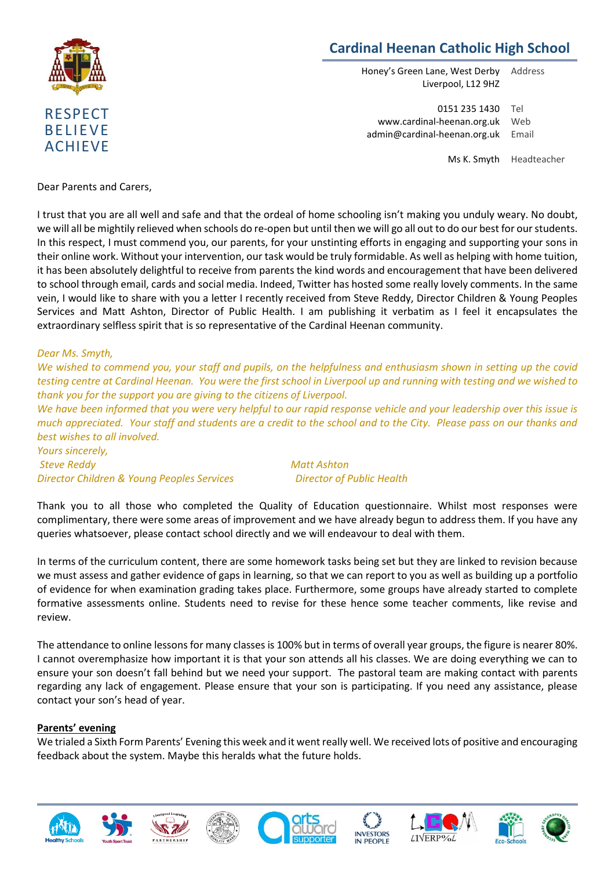

## **Cardinal Heenan Catholic High School**

Honey's Green Lane, West Derby Liverpool, L12 9HZ Address

0151 235 1430 www.cardinal-heenan.org.uk admin@cardinal-heenan.org.uk Email Tel Web

Ms K. Smyth Headteacher

Dear Parents and Carers,

I trust that you are all well and safe and that the ordeal of home schooling isn't making you unduly weary. No doubt, we will all be mightily relieved when schools do re-open but until then we will go all out to do our best for our students. In this respect, I must commend you, our parents, for your unstinting efforts in engaging and supporting your sons in their online work. Without your intervention, our task would be truly formidable. As well as helping with home tuition, it has been absolutely delightful to receive from parents the kind words and encouragement that have been delivered to school through email, cards and social media. Indeed, Twitter has hosted some really lovely comments. In the same vein, I would like to share with you a letter I recently received from Steve Reddy, Director Children & Young Peoples Services and Matt Ashton, Director of Public Health. I am publishing it verbatim as I feel it encapsulates the extraordinary selfless spirit that is so representative of the Cardinal Heenan community.

## *Dear Ms. Smyth,*

*We wished to commend you, your staff and pupils, on the helpfulness and enthusiasm shown in setting up the covid testing centre at Cardinal Heenan. You were the first school in Liverpool up and running with testing and we wished to thank you for the support you are giving to the citizens of Liverpool.* 

*We have been informed that you were very helpful to our rapid response vehicle and your leadership over this issue is much appreciated. Your staff and students are a credit to the school and to the City. Please pass on our thanks and best wishes to all involved.* 

*Yours sincerely,*  **Steve Reddy Matt Ashton Director Children & Young Peoples Services Director of Public Health** 

Thank you to all those who completed the Quality of Education questionnaire. Whilst most responses were complimentary, there were some areas of improvement and we have already begun to address them. If you have any queries whatsoever, please contact school directly and we will endeavour to deal with them.

In terms of the curriculum content, there are some homework tasks being set but they are linked to revision because we must assess and gather evidence of gaps in learning, so that we can report to you as well as building up a portfolio of evidence for when examination grading takes place. Furthermore, some groups have already started to complete formative assessments online. Students need to revise for these hence some teacher comments, like revise and review.

The attendance to online lessons for many classes is 100% but in terms of overall year groups, the figure is nearer 80%. I cannot overemphasize how important it is that your son attends all his classes. We are doing everything we can to ensure your son doesn't fall behind but we need your support. The pastoral team are making contact with parents regarding any lack of engagement. Please ensure that your son is participating. If you need any assistance, please contact your son's head of year.

## **Parents' evening**

We trialed a Sixth Form Parents' Evening this week and it went really well. We received lots of positive and encouraging feedback about the system. Maybe this heralds what the future holds.